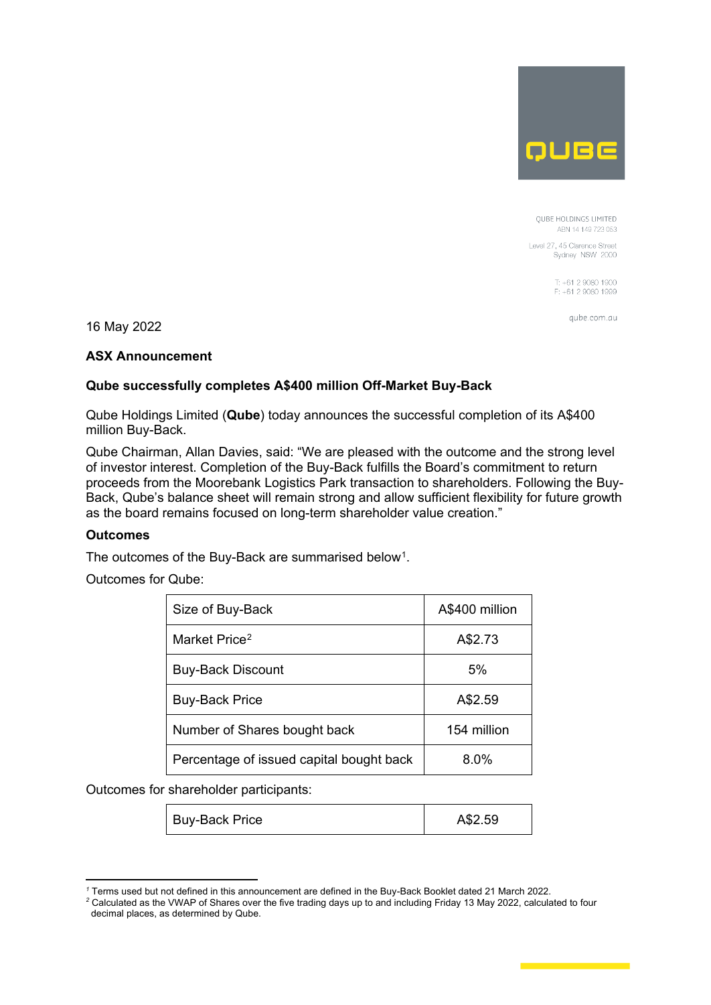

**OUBE HOLDINGS LIMITED** ABN 14 149 723 053

Level 27, 45 Clarence Street Sydney NSW 2000

> T: +61 2 9080 1900 F: +61 2 9080 1999

> > aube.com.au

16 May 2022

### **ASX Announcement**

# **Qube successfully completes A\$400 million Off-Market Buy-Back**

Qube Holdings Limited (**Qube**) today announces the successful completion of its A\$400 million Buy-Back.

Qube Chairman, Allan Davies, said: "We are pleased with the outcome and the strong level of investor interest. Completion of the Buy-Back fulfills the Board's commitment to return proceeds from the Moorebank Logistics Park transaction to shareholders. Following the Buy-Back, Qube's balance sheet will remain strong and allow sufficient flexibility for future growth as the board remains focused on long-term shareholder value creation."

### **Outcomes**

The outcomes of the Buy-Back are summarised below<sup>1</sup>.

Outcomes for Qube:

| Size of Buy-Back                         | A\$400 million |
|------------------------------------------|----------------|
| Market Price <sup>2</sup>                | A\$2.73        |
| <b>Buy-Back Discount</b>                 | 5%             |
| <b>Buy-Back Price</b>                    | A\$2.59        |
| Number of Shares bought back             | 154 million    |
| Percentage of issued capital bought back | $8.0\%$        |

Outcomes for shareholder participants:

| Buy-Back Price | A\$2.59 |
|----------------|---------|
|----------------|---------|

*<sup>1</sup>* Terms used but not defined in this announcement are defined in the Buy-Back Booklet dated 21 March 2022.

<span id="page-0-1"></span><span id="page-0-0"></span>*<sup>2</sup>* Calculated as the VWAP of Shares over the five trading days up to and including Friday 13 May 2022, calculated to four decimal places, as determined by Qube.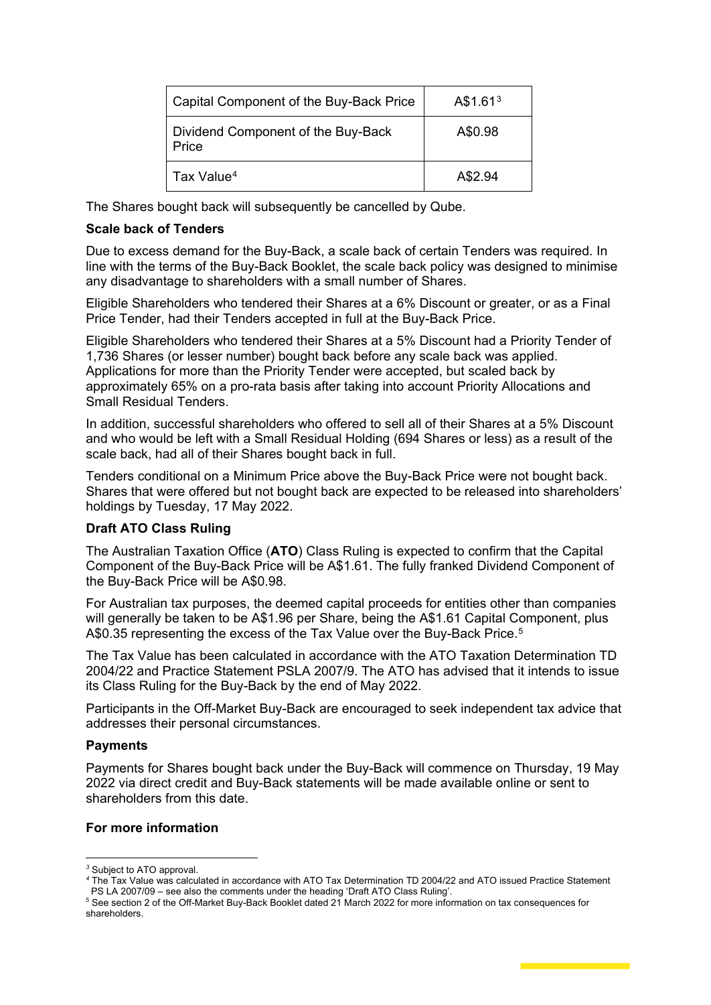| Capital Component of the Buy-Back Price     | A\$1.61 <sup>3</sup> |
|---------------------------------------------|----------------------|
| Dividend Component of the Buy-Back<br>Price | A\$0.98              |
| Tax Value <sup>4</sup>                      | A\$2.94              |

The Shares bought back will subsequently be cancelled by Qube.

#### **Scale back of Tenders**

Due to excess demand for the Buy-Back, a scale back of certain Tenders was required. In line with the terms of the Buy-Back Booklet, the scale back policy was designed to minimise any disadvantage to shareholders with a small number of Shares.

Eligible Shareholders who tendered their Shares at a 6% Discount or greater, or as a Final Price Tender, had their Tenders accepted in full at the Buy-Back Price.

Eligible Shareholders who tendered their Shares at a 5% Discount had a Priority Tender of 1,736 Shares (or lesser number) bought back before any scale back was applied. Applications for more than the Priority Tender were accepted, but scaled back by approximately 65% on a pro-rata basis after taking into account Priority Allocations and Small Residual Tenders.

In addition, successful shareholders who offered to sell all of their Shares at a 5% Discount and who would be left with a Small Residual Holding (694 Shares or less) as a result of the scale back, had all of their Shares bought back in full.

Tenders conditional on a Minimum Price above the Buy-Back Price were not bought back. Shares that were offered but not bought back are expected to be released into shareholders' holdings by Tuesday, 17 May 2022.

### **Draft ATO Class Ruling**

The Australian Taxation Office (**ATO**) Class Ruling is expected to confirm that the Capital Component of the Buy-Back Price will be A\$1.61. The fully franked Dividend Component of the Buy-Back Price will be A\$0.98.

For Australian tax purposes, the deemed capital proceeds for entities other than companies will generally be taken to be A\$1.96 per Share, being the A\$1.61 Capital Component, plus A\$0.35 representing the excess of the Tax Value over the Buy-Back Price.<sup>5</sup>

The Tax Value has been calculated in accordance with the ATO Taxation Determination TD 2004/22 and Practice Statement PSLA 2007/9. The ATO has advised that it intends to issue its Class Ruling for the Buy-Back by the end of May 2022.

Participants in the Off-Market Buy-Back are encouraged to seek independent tax advice that addresses their personal circumstances.

### **Payments**

Payments for Shares bought back under the Buy-Back will commence on Thursday, 19 May 2022 via direct credit and Buy-Back statements will be made available online or sent to shareholders from this date.

### **For more information**

<span id="page-1-0"></span>*<sup>3</sup>* Subject to ATO approval.

<span id="page-1-1"></span>*<sup>4</sup>* The Tax Value was calculated in accordance with ATO Tax Determination TD 2004/22 and ATO issued Practice Statement PS LA 2007/09 – see also the comments under the heading 'Draft ATO Class Ruling'.

<span id="page-1-2"></span><sup>5</sup> See section 2 of the Off-Market Buy-Back Booklet dated 21 March 2022 for more information on tax consequences for shareholders.